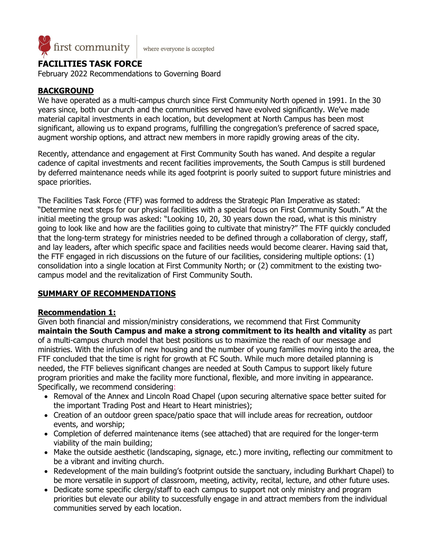

where everyone is accepted

# **FACILITIES TASK FORCE**

February 2022 Recommendations to Governing Board

## **BACKGROUND**

We have operated as a multi-campus church since First Community North opened in 1991. In the 30 years since, both our church and the communities served have evolved significantly. We've made material capital investments in each location, but development at North Campus has been most significant, allowing us to expand programs, fulfilling the congregation's preference of sacred space, augment worship options, and attract new members in more rapidly growing areas of the city.

Recently, attendance and engagement at First Community South has waned. And despite a regular cadence of capital investments and recent facilities improvements, the South Campus is still burdened by deferred maintenance needs while its aged footprint is poorly suited to support future ministries and space priorities.

The Facilities Task Force (FTF) was formed to address the Strategic Plan Imperative as stated: "Determine next steps for our physical facilities with a special focus on First Community South." At the initial meeting the group was asked: "Looking 10, 20, 30 years down the road, what is this ministry going to look like and how are the facilities going to cultivate that ministry?" The FTF quickly concluded that the long-term strategy for ministries needed to be defined through a collaboration of clergy, staff, and lay leaders, after which specific space and facilities needs would become clearer. Having said that, the FTF engaged in rich discussions on the future of our facilities, considering multiple options: (1) consolidation into a single location at First Community North; or (2) commitment to the existing twocampus model and the revitalization of First Community South.

## **SUMMARY OF RECOMMENDATIONS**

## **Recommendation 1:**

Given both financial and mission/ministry considerations, we recommend that First Community **maintain the South Campus and make a strong commitment to its health and vitality** as part of a multi-campus church model that best positions us to maximize the reach of our message and ministries. With the infusion of new housing and the number of young families moving into the area, the FTF concluded that the time is right for growth at FC South. While much more detailed planning is needed, the FTF believes significant changes are needed at South Campus to support likely future program priorities and make the facility more functional, flexible, and more inviting in appearance. Specifically, we recommend considering:

- Removal of the Annex and Lincoln Road Chapel (upon securing alternative space better suited for the important Trading Post and Heart to Heart ministries);
- Creation of an outdoor green space/patio space that will include areas for recreation, outdoor events, and worship;
- Completion of deferred maintenance items (see attached) that are required for the longer-term viability of the main building;
- Make the outside aesthetic (landscaping, signage, etc.) more inviting, reflecting our commitment to be a vibrant and inviting church.
- Redevelopment of the main building's footprint outside the sanctuary, including Burkhart Chapel) to be more versatile in support of classroom, meeting, activity, recital, lecture, and other future uses.
- Dedicate some specific clergy/staff to each campus to support not only ministry and program priorities but elevate our ability to successfully engage in and attract members from the individual communities served by each location.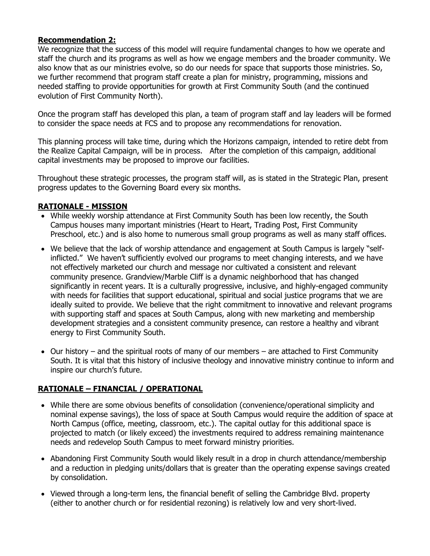## **Recommendation 2:**

We recognize that the success of this model will require fundamental changes to how we operate and staff the church and its programs as well as how we engage members and the broader community. We also know that as our ministries evolve, so do our needs for space that supports those ministries. So, we further recommend that program staff create a plan for ministry, programming, missions and needed staffing to provide opportunities for growth at First Community South (and the continued evolution of First Community North).

Once the program staff has developed this plan, a team of program staff and lay leaders will be formed to consider the space needs at FCS and to propose any recommendations for renovation.

This planning process will take time, during which the Horizons campaign, intended to retire debt from the Realize Capital Campaign, will be in process. After the completion of this campaign, additional capital investments may be proposed to improve our facilities.

Throughout these strategic processes, the program staff will, as is stated in the Strategic Plan, present progress updates to the Governing Board every six months.

## **RATIONALE - MISSION**

- While weekly worship attendance at First Community South has been low recently, the South Campus houses many important ministries (Heart to Heart, Trading Post, First Community Preschool, etc.) and is also home to numerous small group programs as well as many staff offices.
- We believe that the lack of worship attendance and engagement at South Campus is largely "selfinflicted." We haven't sufficiently evolved our programs to meet changing interests, and we have not effectively marketed our church and message nor cultivated a consistent and relevant community presence. Grandview/Marble Cliff is a dynamic neighborhood that has changed significantly in recent years. It is a culturally progressive, inclusive, and highly-engaged community with needs for facilities that support educational, spiritual and social justice programs that we are ideally suited to provide. We believe that the right commitment to innovative and relevant programs with supporting staff and spaces at South Campus, along with new marketing and membership development strategies and a consistent community presence, can restore a healthy and vibrant energy to First Community South.
- Our history and the spiritual roots of many of our members are attached to First Community South. It is vital that this history of inclusive theology and innovative ministry continue to inform and inspire our church's future.

## **RATIONALE – FINANCIAL / OPERATIONAL**

- While there are some obvious benefits of consolidation (convenience/operational simplicity and nominal expense savings), the loss of space at South Campus would require the addition of space at North Campus (office, meeting, classroom, etc.). The capital outlay for this additional space is projected to match (or likely exceed) the investments required to address remaining maintenance needs and redevelop South Campus to meet forward ministry priorities.
- Abandoning First Community South would likely result in a drop in church attendance/membership and a reduction in pledging units/dollars that is greater than the operating expense savings created by consolidation.
- Viewed through a long-term lens, the financial benefit of selling the Cambridge Blvd. property (either to another church or for residential rezoning) is relatively low and very short-lived.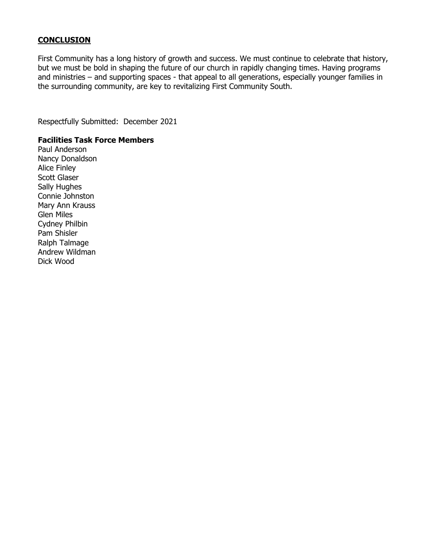### **CONCLUSION**

First Community has a long history of growth and success. We must continue to celebrate that history, but we must be bold in shaping the future of our church in rapidly changing times. Having programs and ministries – and supporting spaces - that appeal to all generations, especially younger families in the surrounding community, are key to revitalizing First Community South.

Respectfully Submitted: December 2021

#### **Facilities Task Force Members**

Paul Anderson Nancy Donaldson Alice Finley Scott Glaser Sally Hughes Connie Johnston Mary Ann Krauss Glen Miles Cydney Philbin Pam Shisler Ralph Talmage Andrew Wildman Dick Wood